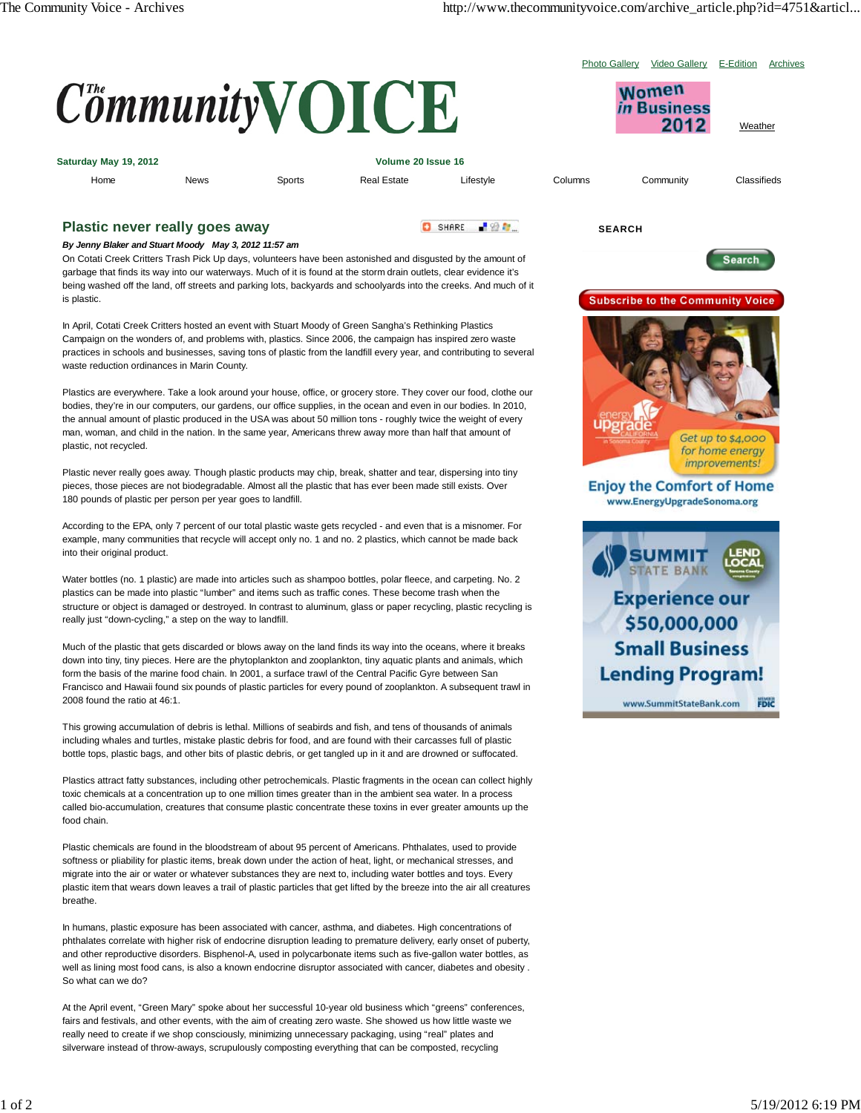